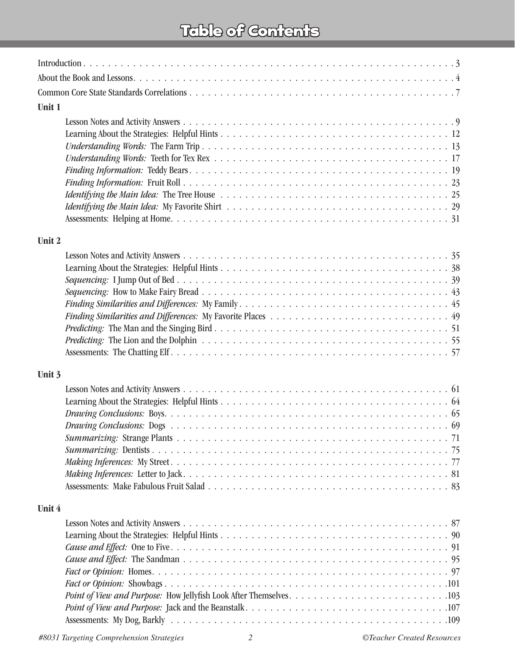### Table of Contents

| Unit 1 |  |  |  |
|--------|--|--|--|
|        |  |  |  |
|        |  |  |  |
|        |  |  |  |
|        |  |  |  |
|        |  |  |  |
|        |  |  |  |
|        |  |  |  |
|        |  |  |  |
|        |  |  |  |
| Unit 2 |  |  |  |
|        |  |  |  |
|        |  |  |  |
|        |  |  |  |
|        |  |  |  |
|        |  |  |  |
|        |  |  |  |
|        |  |  |  |
|        |  |  |  |
|        |  |  |  |
| Unit 3 |  |  |  |
|        |  |  |  |
|        |  |  |  |
|        |  |  |  |
|        |  |  |  |
|        |  |  |  |
|        |  |  |  |
|        |  |  |  |
|        |  |  |  |
|        |  |  |  |
| Unit 4 |  |  |  |
|        |  |  |  |
|        |  |  |  |
|        |  |  |  |
|        |  |  |  |
|        |  |  |  |
|        |  |  |  |
|        |  |  |  |
|        |  |  |  |
|        |  |  |  |
|        |  |  |  |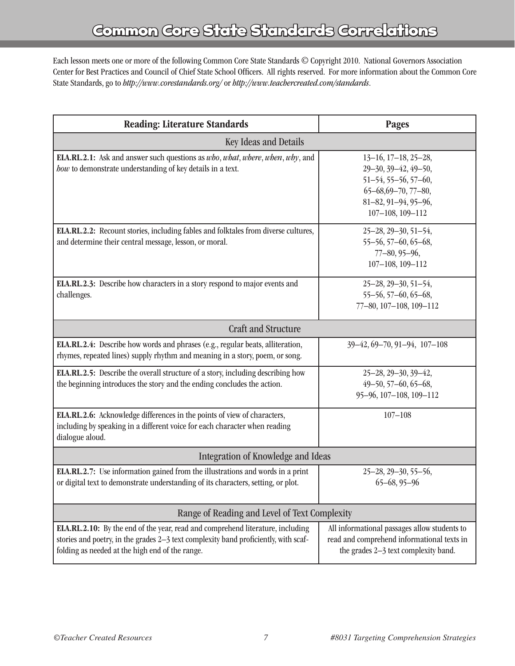Each lesson meets one or more of the following Common Core State Standards © Copyright 2010. National Governors Association Center for Best Practices and Council of Chief State School Officers. All rights reserved. For more information about the Common Core State Standards, go to *http://www.corestandards.org/* or *http://www.teachercreated.com/standards*.

| <b>Reading: Literature Standards</b>                                                                                                                                                                                     | <b>Pages</b>                                                                                                                                                               |  |  |  |
|--------------------------------------------------------------------------------------------------------------------------------------------------------------------------------------------------------------------------|----------------------------------------------------------------------------------------------------------------------------------------------------------------------------|--|--|--|
| Key Ideas and Details                                                                                                                                                                                                    |                                                                                                                                                                            |  |  |  |
| ELA.RL.2.1: Ask and answer such questions as who, what, where, when, why, and<br>how to demonstrate understanding of key details in a text.                                                                              | $13-16$ , $17-18$ , $25-28$ ,<br>29-30, 39-42, 49-50,<br>$51 - 54, 55 - 56, 57 - 60,$<br>$65 - 68,69 - 70,77 - 80,$<br>$81-82, 91-94, 95-96,$<br>$107 - 108$ , $109 - 112$ |  |  |  |
| ELA.RL.2.2: Recount stories, including fables and folktales from diverse cultures,<br>and determine their central message, lesson, or moral.                                                                             | $25 - 28$ , $29 - 30$ , $51 - 54$ ,<br>$55 - 56, 57 - 60, 65 - 68,$<br>$77 - 80, 95 - 96,$<br>$107 - 108$ , $109 - 112$                                                    |  |  |  |
| ELA.RL.2.3: Describe how characters in a story respond to major events and<br>challenges.                                                                                                                                | $25 - 28$ , $29 - 30$ , $51 - 54$ ,<br>$55 - 56, 57 - 60, 65 - 68,$<br>77-80, 107-108, 109-112                                                                             |  |  |  |
| <b>Craft and Structure</b>                                                                                                                                                                                               |                                                                                                                                                                            |  |  |  |
| ELA.RL.2.4: Describe how words and phrases (e.g., regular beats, alliteration,<br>rhymes, repeated lines) supply rhythm and meaning in a story, poem, or song.                                                           | $39-42, 69-70, 91-94, 107-108$                                                                                                                                             |  |  |  |
| <b>ELA.RL.2.5:</b> Describe the overall structure of a story, including describing how<br>the beginning introduces the story and the ending concludes the action.                                                        | $25 - 28$ , $29 - 30$ , $39 - 42$ ,<br>$49 - 50, 57 - 60, 65 - 68,$<br>95-96, 107-108, 109-112                                                                             |  |  |  |
| ELA.RL.2.6: Acknowledge differences in the points of view of characters,<br>including by speaking in a different voice for each character when reading<br>dialogue aloud.                                                | $107 - 108$                                                                                                                                                                |  |  |  |
| Integration of Knowledge and Ideas                                                                                                                                                                                       |                                                                                                                                                                            |  |  |  |
| ELA.RL.2.7: Use information gained from the illustrations and words in a print<br>or digital text to demonstrate understanding of its characters, setting, or plot.                                                      | $25 - 28$ , $29 - 30$ , $55 - 56$ ,<br>$65 - 68, 95 - 96$                                                                                                                  |  |  |  |
| Range of Reading and Level of Text Complexity                                                                                                                                                                            |                                                                                                                                                                            |  |  |  |
| ELA.RL.2.10: By the end of the year, read and comprehend literature, including<br>stories and poetry, in the grades 2-3 text complexity band proficiently, with scaf-<br>folding as needed at the high end of the range. | All informational passages allow students to<br>read and comprehend informational texts in<br>the grades 2-3 text complexity band.                                         |  |  |  |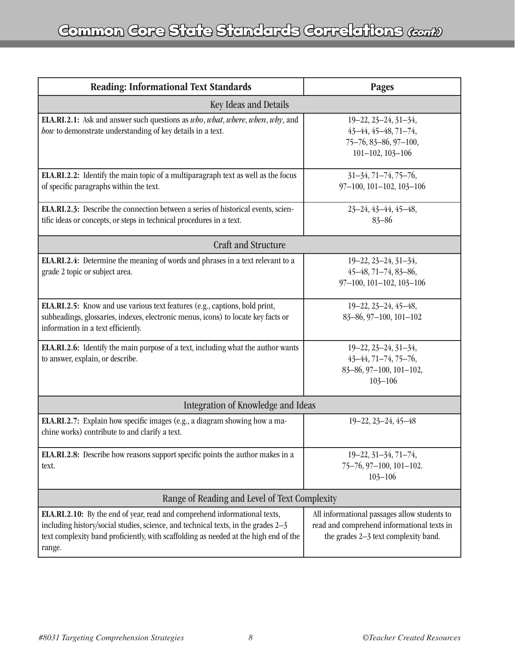| <b>Reading: Informational Text Standards</b>                                                                                                                                                                                                                     | <b>Pages</b>                                                                                                                       |  |  |  |
|------------------------------------------------------------------------------------------------------------------------------------------------------------------------------------------------------------------------------------------------------------------|------------------------------------------------------------------------------------------------------------------------------------|--|--|--|
| Key Ideas and Details                                                                                                                                                                                                                                            |                                                                                                                                    |  |  |  |
| ELA.RI.2.1: Ask and answer such questions as who, what, where, when, why, and<br>how to demonstrate understanding of key details in a text.                                                                                                                      | $19 - 22, 23 - 24, 31 - 34,$<br>$43-44, 45-48, 71-74,$<br>75-76, 83-86, 97-100,<br>$101 - 102, 103 - 106$                          |  |  |  |
| ELA.RI.2.2: Identify the main topic of a multiparagraph text as well as the focus<br>of specific paragraphs within the text.                                                                                                                                     | $31-34, 71-74, 75-76,$<br>97-100, 101-102, 103-106                                                                                 |  |  |  |
| ELA.RI.2.3: Describe the connection between a series of historical events, scien-<br>tific ideas or concepts, or steps in technical procedures in a text.                                                                                                        | 23-24, 43-44, 45-48,<br>$83 - 86$                                                                                                  |  |  |  |
| <b>Craft and Structure</b>                                                                                                                                                                                                                                       |                                                                                                                                    |  |  |  |
| ELA.RI.2.4: Determine the meaning of words and phrases in a text relevant to a<br>grade 2 topic or subject area.                                                                                                                                                 | $19 - 22, 23 - 24, 31 - 34,$<br>$45 - 48, 71 - 74, 83 - 86,$<br>97-100, 101-102, 103-106                                           |  |  |  |
| ELA.RI.2.5: Know and use various text features (e.g., captions, bold print,<br>subheadings, glossaries, indexes, electronic menus, icons) to locate key facts or<br>information in a text efficiently.                                                           | $19 - 22, 23 - 24, 45 - 48,$<br>83-86, 97-100, 101-102                                                                             |  |  |  |
| ELA.RI.2.6: Identify the main purpose of a text, including what the author wants<br>to answer, explain, or describe.                                                                                                                                             | $19 - 22, 23 - 24, 31 - 34,$<br>$43-44, 71-74, 75-76,$<br>83-86, 97-100, 101-102,<br>$103 - 106$                                   |  |  |  |
| Integration of Knowledge and Ideas                                                                                                                                                                                                                               |                                                                                                                                    |  |  |  |
| ELA.RI.2.7: Explain how specific images (e.g., a diagram showing how a ma-<br>chine works) contribute to and clarify a text.                                                                                                                                     | $19 - 22, 23 - 24, 45 - 48$                                                                                                        |  |  |  |
| ELA.RI.2.8: Describe how reasons support specific points the author makes in a<br>text.                                                                                                                                                                          | 19-22, 31-34, 71-74,<br>$75-76, 97-100, 101-102.$<br>$103 - 106$                                                                   |  |  |  |
| Range of Reading and Level of Text Complexity                                                                                                                                                                                                                    |                                                                                                                                    |  |  |  |
| ELA.RI.2.10: By the end of year, read and comprehend informational texts,<br>including history/social studies, science, and technical texts, in the grades 2-3<br>text complexity band proficiently, with scaffolding as needed at the high end of the<br>range. | All informational passages allow students to<br>read and comprehend informational texts in<br>the grades 2-3 text complexity band. |  |  |  |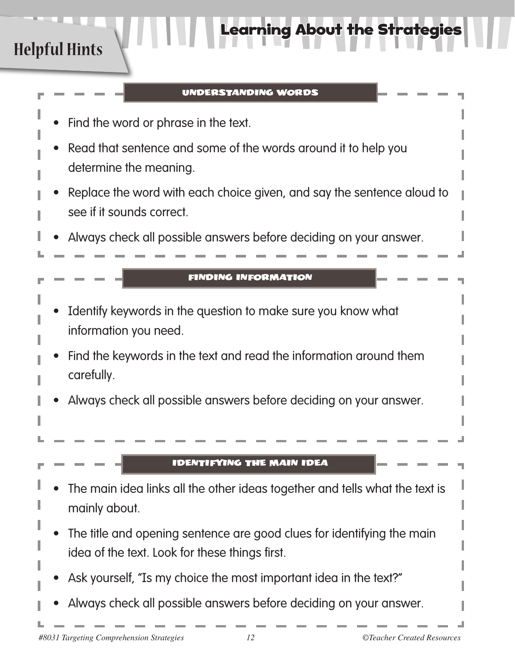## **Helpful Hints**

### UNDERSTANDING WORDS

rning About the Strategies

- Find the word or phrase in the text.
- Read that sentence and some of the words around it to help you determine the meaning.
- Replace the word with each choice given, and say the sentence aloud to see if it sounds correct.
- Always check all possible answers before deciding on your answer.

### FINDING INFORMATION

- Identify keywords in the question to make sure you know what information you need.
- Find the keywords in the text and read the information around them carefully.
- Always check all possible answers before deciding on your answer.

### IDENTIFYING THE MAIN IDEA

- The main idea links all the other ideas together and tells what the text is mainly about.
- The title and opening sentence are good clues for identifying the main idea of the text. Look for these things first.
- Ask yourself, "Is my choice the most important idea in the text?"
- Always check all possible answers before deciding on your answer.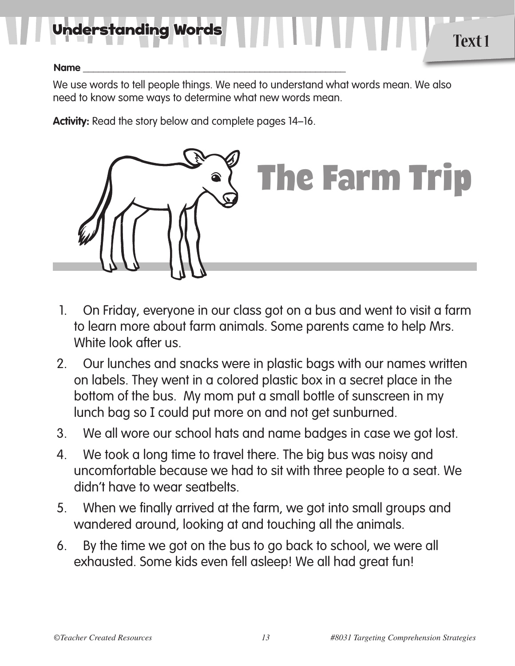# Unde**rstanding Words 1996 Participal Providence of Text 1**

### **Name \_\_\_\_\_\_\_\_\_\_\_\_\_\_\_\_\_\_\_\_\_\_\_\_\_\_\_\_\_\_\_\_\_\_\_\_\_\_\_\_\_\_\_\_\_\_\_\_\_\_\_\_**

We use words to tell people things. We need to understand what words mean. We also need to know some ways to determine what new words mean.

**Activity:** Read the story below and complete pages 14–16.



- 1. On Friday, everyone in our class got on a bus and went to visit a farm to learn more about farm animals. Some parents came to help Mrs. White look after us.
- 2. Our lunches and snacks were in plastic bags with our names written on labels. They went in a colored plastic box in a secret place in the bottom of the bus. My mom put a small bottle of sunscreen in my lunch bag so I could put more on and not get sunburned.
- 3. We all wore our school hats and name badges in case we got lost.
- 4. We took a long time to travel there. The big bus was noisy and uncomfortable because we had to sit with three people to a seat. We didn't have to wear seatbelts.
- 5. When we finally arrived at the farm, we got into small groups and wandered around, looking at and touching all the animals.
- 6. By the time we got on the bus to go back to school, we were all exhausted. Some kids even fell asleep! We all had great fun!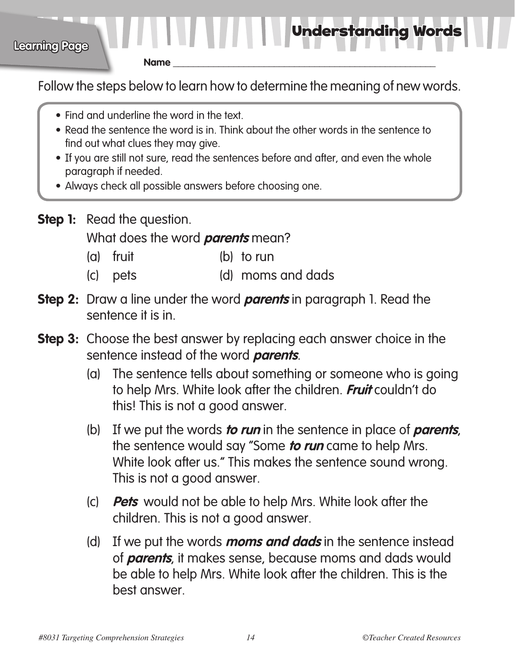Understanding Words

**Name \_\_\_\_\_\_\_\_\_\_\_\_\_\_\_\_\_\_\_\_\_\_\_\_\_\_\_\_\_\_\_\_\_\_\_\_\_\_\_\_\_\_\_\_\_\_\_\_\_\_\_\_**

**Learning Page**

Follow the steps below to learn how to determine the meaning of new words.

- Find and underline the word in the text.
- Read the sentence the word is in. Think about the other words in the sentence to find out what clues they may give.
- If you are still not sure, read the sentences before and after, and even the whole paragraph if needed.
- Always check all possible answers before choosing one.
- **Step 1:** Read the question.

What does the word **parents** mean?

- (a) fruit (b) to run
- (c) pets (d) moms and dads
- **Step 2:** Draw a line under the word *parents* in paragraph 1. Read the sentence it is in.
- **Step 3:** Choose the best answer by replacing each answer choice in the sentence instead of the word **parents**.
	- (a) The sentence tells about something or someone who is going to help Mrs. White look after the children. **Fruit** couldn't do this! This is not a good answer.
	- (b) If we put the words **to run** in the sentence in place of **parents**, the sentence would say "Some **to run** came to help Mrs. White look after us." This makes the sentence sound wrong. This is not a good answer.
	- (c) **Pets** would not be able to help Mrs. White look after the children. This is not a good answer.
	- (d) If we put the words **moms and dads** in the sentence instead of **parents**, it makes sense, because moms and dads would be able to help Mrs. White look after the children. This is the best answer.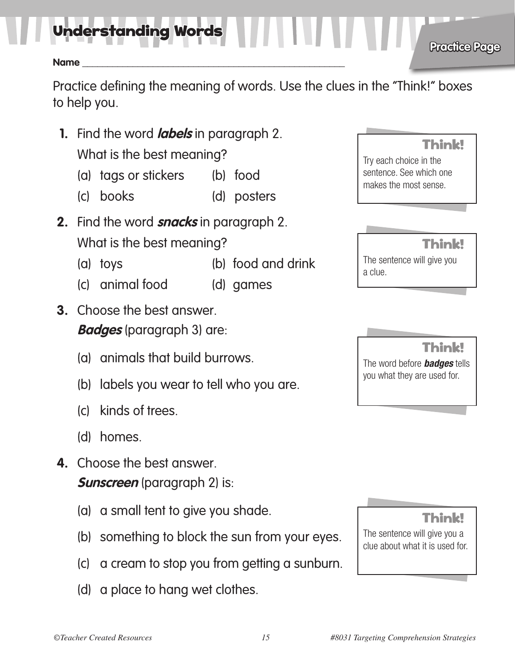Understanding Words

### **Name \_\_\_\_\_\_\_\_\_\_\_\_\_\_\_\_\_\_\_\_\_\_\_\_\_\_\_\_\_\_\_\_\_\_\_\_\_\_\_\_\_\_\_\_\_\_\_\_\_\_\_\_**

Practice defining the meaning of words. Use the clues in the "Think!" boxes to help you.

**1.** Find the word **labels** in paragraph 2.

 What is the best meaning?

- (a) tags or stickers (b) food
- (c) books (d) posters
- **2.** Find the word **snacks** in paragraph 2. What is the best meaning?
	- (a) toys (b) food and drink
	- (c) animal food (d) games
- **3.** Choose the best answer. **Badges** (paragraph 3) are:
	- (a) animals that build burrows.
	- (b) labels you wear to tell who you are.
	- (c) kinds of trees.
	- (d) homes.
- **4.** Choose the best answer. **Sunscreen** (paragraph 2) is:
	- (a) a small tent to give you shade.
	- (b) something to block the sun from your eyes.
	- (c) a cream to stop you from getting a sunburn.
	- (d) a place to hang wet clothes.

### Think!

**Practice Page**

Try each choice in the sentence. See which one makes the most sense.

Think! The sentence will give you a clue.

Think!

The word before *badges* tells you what they are used for.

Think!

The sentence will give you a clue about what it is used for.